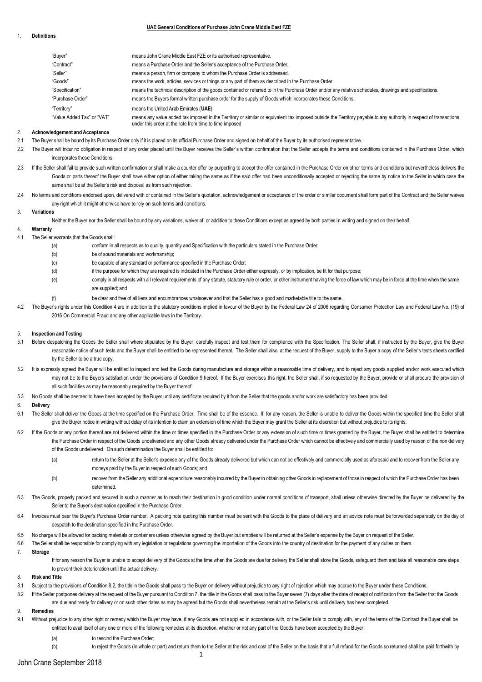### 1. **Definitions**

## **UAE General Conditions of Purchase John Crane Middle East FZE**

| "Buyer"                    | means John Crane Middle East FZE or its authorised representative.                                                                                                                                                          |
|----------------------------|-----------------------------------------------------------------------------------------------------------------------------------------------------------------------------------------------------------------------------|
| "Contract"                 | means a Purchase Order and the Seller's acceptance of the Purchase Order.                                                                                                                                                   |
| "Seller"                   | means a person, firm or company to whom the Purchase Order is addressed.                                                                                                                                                    |
| "Goods"                    | means the work, articles, services or things or any part of them as described in the Purchase Order.                                                                                                                        |
| "Specification"            | means the technical description of the goods contained or referred to in the Purchase Order and/or any relative schedules, drawings and specifications.                                                                     |
| "Purchase Order"           | means the Buyers formal written purchase order for the supply of Goods which incorporates these Conditions.                                                                                                                 |
| "Territory"                | means the United Arab Emirates (UAE)                                                                                                                                                                                        |
| "Value Added Tax" or "VAT" | means any value added tax imposed in the Territory or similar or equivalent tax imposed outside the Territory payable to any authority in respect of transactions<br>under this order at the rate from time to time imposed |

## 2. **Acknowledgement and Acceptance**

- 2.1 The Buyer shall be bound by its Purchase Order only if it is placed on its official Purchase Order and signed on behalf of the Buyer by its authorised representative.
- 2.2 The Buyer will incur no obligation in respect of any order placed until the Buyer receives the Seller's written confirmation that the Seller accepts the terms and conditions contained in the Purchase Order, which incorporates these Conditions.
- 2.3 If the Seller shall fail to provide such written confirmation or shall make a counter offer by purporting to accept the offer contained in the Purchase Order on other terms and conditions but nevertheless delivers the Goods or parts thereof the Buyer shall have either option of either taking the same as if the said offer had been unconditionally accepted or rejecting the same by notice to the Seller in which case the same shall be at the Seller's risk and disposal as from such rejection.
- 2.4 No terms and conditions endorsed upon, delivered with or contained in the Seller's quotation, acknowledgement or acceptance of the order or similar document shall form part of the Contract and the Seller waives any right which it might otherwise have to rely on such terms and conditions.

#### 3. **Variations**

Neither the Buyer nor the Seller shall be bound by any variations, waiver of, or addition to these Conditions except as agreed by both parties in writing and signed on their behalf.

# 4. **Warranty**

- 4.1 The Seller warrants that the Goods shall:
	- (a) conform in all respects as to quality, quantity and Specification with the particulars stated in the Purchase Order;
	- (b) be of sound materials and workmanship;
	- (c) be capable of any standard or performance specified in the Purchase Order;
	- (d) if the purpose for which they are required is indicated in the Purchase Order either expressly, or by implication, be fit for that purpose;
	- (e) comply in all respects with all relevant requirements of any statute, statutory rule or order, or other instrument having the force of law which may be in force at the time when the same are supplied; and
	- (f) be clear and free of all liens and encumbrances whatsoever and that the Seller has a good and marketable title to the same.
- 4.2 The Buyer's rights under this Condition 4 are in addition to the statutory conditions implied in favour of the Buyer by the Federal Law 24 of 2006 regarding Consumer Protection Law and Federal Law No. (19) of 2016 On Commercial Fraud and any other applicable laws in the Territory.

#### 5. **Inspection and Testing**

- 5.1 Before despatching the Goods the Seller shall where stipulated by the Buyer, carefully inspect and test them for compliance with the Specification. The Seller shall, if instructed by the Buyer, give the Buyer reasonable notice of such tests and the Buyer shall be entitled to be represented thereat. The Seller shall also, at the request of the Buyer, supply to the Buyer a copy of the Seller's tests sheets certified by the Seller to be a true copy
- 5.2 It is expressly agreed the Buyer will be entitled to inspect and test the Goods during manufacture and storage within a reasonable time of delivery, and to reject any goods supplied and/or work executed which may not be to the Buyers satisfaction under the provisions of Condition 9 hereof. If the Buyer exercises this right, the Seller shall, if so requested by the Buyer, provide or shall procure the provision of all such facilities as may be reasonably required by the Buyer thereof.
- 5.3 No Goods shall be deemed to have been accepted by the Buyer until any certificate required by it from the Seller that the goods and/or work are satisfactory has been provided.

### 6. **Delivery**

- 6.1 The Seller shall deliver the Goods at the time specified on the Purchase Order. Time shall be of the essence. If, for any reason, the Seller si unable to deliver the Goods within the specified time the Seller shall give the Buyer notice in writing without delay of its intention to claim an extension of time which the Buyer may grant the Seller at its discretion but without prejudice to its rights.
- 6.2 If the Goods or any portion thereof are not delivered within the time or times specified in the Purchase Order or any extension of such time or times granted by the Buyer, the Buyer shall be entitled to determine the Purchase Order in respect of the Goods undelivered and any other Goods already delivered under the Purchase Order which cannot be effectively and commercially used by reason of the non delivery of the Goods undelivered. On such determination the Buyer shall be entitled to:
	- (a) return to the Seller at the Seller's expense any of the Goods already delivered but which can not be effectively and commercially used as aforesaid and to recover from the Seller any moneys paid by the Buyer in respect of such Goods; and
	- (b) recover from the Seller any additional expenditure reasonably incurred by the Buyer in obtaining other Goods in replacement of those in respect of which the Purchase Order has been determined.
- 6.3 The Goods, properly packed and secured in such a manner as to reach their destination in good condition under normal conditions of transport, shall unless otherwise directed by the Buyer be delivered by the Seller to the Buyer's destination specified in the Purchase Order.
- 6.4 Invoices must bear the Buyer's Purchase Order number. A packing note quoting this number must be sent with the Goods to the place of delivery and an advice note must be forwarded separately on the day of despatch to the destination specified in the Purchase Order.
- 6.5 No charge will be allowed for packing materials or containers unless otherwise agreed by the Buyer but empties will be returned at the Seller's expense by the Buyer on request of the Seller.

6.6 The Seller shall be responsible for complying with any legislation or regulations governing the importation of the Goods into the country of destination for the payment of any duties on them.

7. **Storage**

If for any reason the Buyer is unable to accept delivery of the Goods at the time when the Goods are due for delivery the Seller shall store the Goods, safeguard them and take all reasonable care steps to prevent their deterioration until the actual delivery.

#### 8. **Risk and Title**

- 8.1 Subject to the provisions of Condition 8.2, the title in the Goods shall pass to the Buyer on delivery without prejudice to any right of rejection which may accrue to the Buyer under these Conditions.
- 8.2 If the Seller postpones delivery at the request of the Buyer pursuant to Condition 7, the title in the Goods shall pass to the Buyer seven (7) days after the date of receipt of notification from the Seller that the Goo are due and ready for delivery or on such other dates as may be agreed but the Goods shall nevertheless remain at the Seller's risk until delivery has been completed.

### 9. **Remedies**

- 9.1 Without prejudice to any other right or remedy which the Buyer may have, if any Goods are not supplied in accordance with, or the Seller fails to comply with, any of the terms of the Contract the Buyer shall be entitled to avail itself of any one or more of the following remedies at its discretion, whether or not any part of the Goods have been accepted by the Buyer:
	- (a) to rescind the Purchase Order:
	- (b) to reject the Goods (in whole or part) and return them to the Seller at the risk and cost of the Seller on the basis that a full refund for the Goods so returned shall be paid forthwith by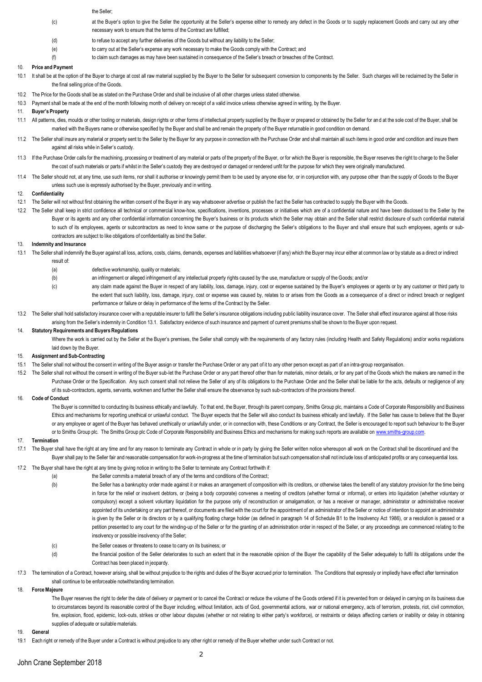#### the Seller;

- (c) at the Buyer's option to give the Seller the opportunity at the Seller's expense either to remedy any defect in the Goods or to supply replacement Goods and carry out any other necessary work to ensure that the terms of the Contract are fulfilled;
- (d) to refuse to accept any further deliveries of the Goods but without any liability to the Seller;
- (e) to carry out at the Seller's expense any work necessary to make the Goods comply with the Contract; and
- (f) to claim such damages as may have been sustained in consequence of the Seller's breach or breaches of the Contract.

### 10. **Price and Payment**

- 10.1 It shall be at the option of the Buyer to charge at cost all raw material supplied by the Buyer to the Seller for subsequent conversion to components by the Seller. Such charges will be reclaimed by the Seller in the final selling price of the Goods.
- 10.2 The Price for the Goods shall be as stated on the Purchase Order and shall be inclusive of all other charges unless stated otherwise.
- 10.3 Payment shall be made at the end of the month following month of delivery on receipt of a valid invoice unless otherwise agreed in writing, by the Buyer.
- 11. **Buyer's Property**
- 11.1 All patterns, dies, moulds or other tooling or materials, design rights or other forms of intellectual property supplied by the Buyer or prepared or obtained by the Seller for and at the sole cost of the Buyer, shall be marked with the Buyers name or otherwise specified by the Buyer and shall be and remain the property of the Buyer returnable in good condition on demand.
- 11.2 The Seller shall insure any material or property sent to the Seller by the Buyer for any purpose in connection with the Purchase Order and shall maintain all such items in good order and condition and insure them against all risks while in Seller's custody.
- 11.3 If the Purchase Order calls for the machining, processing or treatment of any material or parts of the property of the Buyer, or for which the Buyer is responsible, the Buyer reserves the right to charge to the Seller the cost of such materials or parts if whilst in the Seller's custody they are destroyed or damaged or rendered unfit for the purpose for which they were originally manufactured
- 11.4 The Seller should not, at any time, use such items, nor shall it authorise or knowingly permit them to be used by anyone else for, or in conjunction with, any purpose other than the supply of Goods to the Buyer unless such use is expressly authorised by the Buyer, previously and in writing.

## 12. **Confidentiality**

- 12.1 The Seller will not without first obtaining the written consent of the Buyer in any way whatsoever advertise or publish the fact the Seller has contracted to supply the Buyer with the Goods.
- 12.2 The Seller shall keep in strict confidence all technical or commercial know-how, specifications, inventions, processes or initiatives which are of a confidential nature and have been disclosed to the Seller by the Buyer or its agents and any other confidential information concerning the Buyer's business or its products which the Seller may obtain and the Seller shall restrict disclosure of such confidential material to such of its employees, agents or subcontractors as need to know same or the purpose of discharging the Seller's obligations to the Buyer and shall ensure that such employees, agents or subcontractors are subject to like obligations of confidentiality as bind the Seller.

#### 13. **Indemnity and Insurance**

- 13.1 The Seller shall indemnify the Buyer against all loss, actions, costs, claims, demands, expenses and liabilities whatsoever (if any) which the Buyer may incur either at common law or by statute as a direct or indirect result of
	- (a) defective workmanship, quality or materials;
	- (b) an infringement or alleged infringement of any intellectual property rights caused by the use, manufacture or supply of the Goods; and/or
	- (c) any claim made against the Buyer in respect of any liability, loss, damage, injury, cost or expense sustained by the Buyer's employees or agents or by any customer or third party to the extent that such liability, loss, damage, injury, cost or expense was caused by, relates to or arises from the Goods as a consequence of a direct or indirect breach or negligent performance or failure or delay in performance of the terms of the Contract by the Seller.
- 13.2 The Seller shall hold satisfactory insurance cover with a reputable insurer to fulfil the Seller's insurance obligations including public liability insurance cover. The Seller shall effect insurance against all those arising from the Seller's indemnity in Condition 13.1. Satisfactory evidence of such insurance and payment of current premiums shall be shown to the Buyer upon request.

### 14. **Statutory Requirements and Buyers Regulations**

Where the work is carried out by the Seller at the Buyer's premises, the Seller shall comply with the requirements of any factory rules (including Health and Safety Regulations) and/or works regulations laid down by the Buyer.

### 15. **Assignment and Sub-Contracting**

- 15.1 The Seller shall not without the consent in writing of the Buyer assign or transfer the Purchase Order or any part of it to any other person except as part of an intra-group reorganisation.
- 15.2 The Seller shall not without the consent in writing of the Buyer sub-let the Purchase Order or any part thereof other than for materials, minor details, or for any part of the Goods which the makers are named in the Purchase Order or the Specification. Any such consent shall not relieve the Seller of any of its obligations to the Purchase Order and the Seller shall be liable for the acts, defaults or negligence of any of its sub-contractors, agents, servants, workmen and further the Seller shall ensure the observance by such sub-contractors of the provisions thereof.

### 16. **Code of Conduct**

The Buyer is committed to conducting its business ethically and lawfully. To that end, the Buyer, through its parent company, Smiths Group plc, maintains a Code of Corporate Responsibility and Business Ethics and mechanisms for reporting unethical or unlawful conduct. The Buyer expects that the Seller will also conduct its business ethically and lawfully. If the Seller has cause to believe that the Buyer or any employee or agent of the Buyer has behaved unethically or unlawfully under, or in connection with, these Conditions or any Contract, the Seller is encouraged to report such behaviour to the Buyer or to Smiths Group plc. The Smiths Group plc Code of Corporate Responsibility and Business Ethics and mechanisms for making such reports are available on www.smiths-group.com

#### 17. **Termination**

- 17.1 The Buyer shall have the right at any time and for any reason to terminate any Contract in whole or in party by giving the Seller written notice whereupon all work on the Contract shall be discontinued and the Buyer shall pay to the Seller fair and reasonable compensation for work-in-progress at the time of termination but such compensation shall not include loss of anticipated profits or any consequential loss.
- 17.2 The Buyer shall have the right at any time by giving notice in writing to the Seller to terminate any Contract forthwith if:
	- (a) the Seller commits a material breach of any of the terms and conditions of the Contract;
		- (b) the Seller has a bankruptcy order made against it or makes an arrangement of composition with its creditors, or otherwise takes the benefit of any statutory provision for the time being in force for the relief or insolvent debtors, or (being a body corporate) convenes a meeting of creditors (whether formal or informal), or enters into liquidation (whether voluntary or compulsory) except a solvent voluntary liquidation for the purpose only of reconstruction or amalgamation, or has a receiver or manager, administrator or administrative receiver appointed of its undertaking or any part thereof, or documents are filed with the court for the appointment of an administrator of the Seller or notice of intention to appoint an administrator is given by the Seller or its directors or by a qualifying floating charge holder (as defined in paragraph 14 of Schedule B1 to the Insolvency Act 1986), or a resolution is passed or a petition presented to any court for the winding-up of the Seller or for the granting of an administration order in respect of the Seller, or any proceedings are commenced relating to the insolvency or possible insolvency of the Seller;
		- (c) the Seller ceases or threatens to cease to carry on its business; or
		- (d) the financial position of the Seller deteriorates to such an extent that in the reasonable opinion of the Buyer the capability of the Seller adequately to fulfil its obligations under the Contract has been placed in jeopardy.
- 17.3 The termination of a Contract, however arising, shall be without prejudice to the rights and duties of the Buyer accrued prior to termination. The Conditions that expressly or impliedly have effect after termination shall continue to be enforceable notwithstanding termination.
- 18. **ForceMajeure**

The Buyer reserves the right to defer the date of delivery or payment or to cancel the Contract or reduce the volume of the Goods ordered if it is prevented from or delayed in carrying on its business due to circumstances beyond its reasonable control of the Buyer including, without limitation, acts of God, governmental actions, war or national emergency, acts of terrorism, protests, riot, civil commotion, fire, explosion, flood, epidemic, lock-outs, strikes or other labour disputes (whether or not relating to either party's workforce), or restraints or delays affecting carriers or inability or delay in obtaining supplies of adequate or suitable materials.

## 19. **General**

19.1 Each right or remedy of the Buyer under a Contract is without prejudice to any other right or remedy of the Buyer whether under such Contract or not.